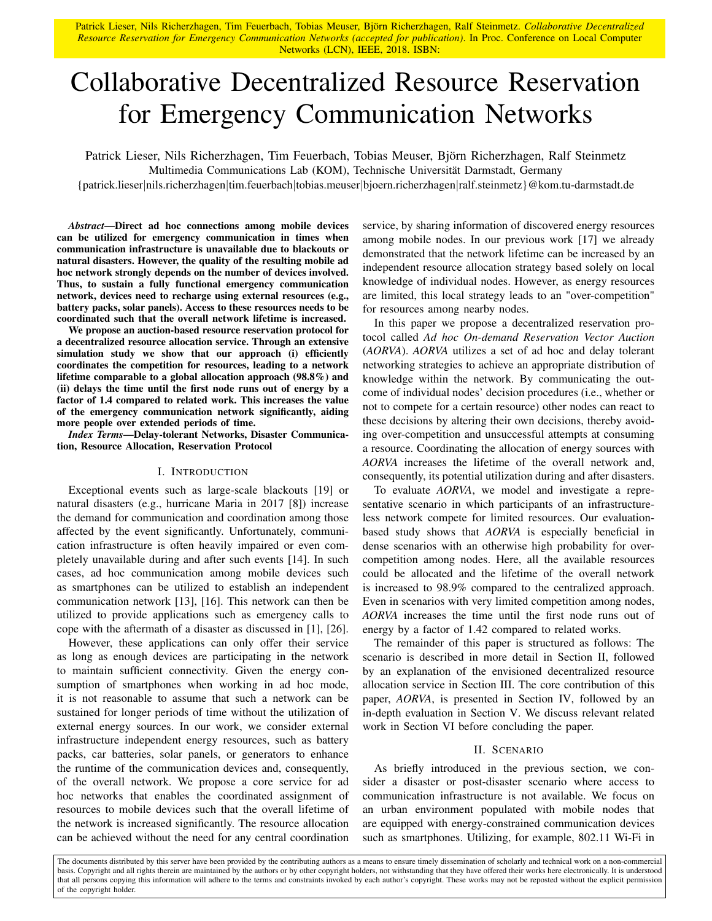Patrick Lieser, Nils Richerzhagen, Tim Feuerbach, Tobias Meuser, Björn Richerzhagen, Ralf Steinmetz. *Collaborative Decentralized Resource Reservation for Emergency Communication Networks (accepted for publication)*. In Proc. Conference on Local Computer Networks (LCN), IEEE, 2018. ISBN:

# Collaborative Decentralized Resource Reservation for Emergency Communication Networks

Patrick Lieser, Nils Richerzhagen, Tim Feuerbach, Tobias Meuser, Björn Richerzhagen, Ralf Steinmetz

Multimedia Communications Lab (KOM), Technische Universität Darmstadt, Germany

{patrick.lieser|nils.richerzhagen|tim.feuerbach|tobias.meuser|bjoern.richerzhagen|ralf.steinmetz}@kom.tu-darmstadt.de

*Abstract*—Direct ad hoc connections among mobile devices can be utilized for emergency communication in times when communication infrastructure is unavailable due to blackouts or natural disasters. However, the quality of the resulting mobile ad hoc network strongly depends on the number of devices involved. Thus, to sustain a fully functional emergency communication network, devices need to recharge using external resources (e.g., battery packs, solar panels). Access to these resources needs to be coordinated such that the overall network lifetime is increased.

We propose an auction-based resource reservation protocol for a decentralized resource allocation service. Through an extensive simulation study we show that our approach (i) efficiently coordinates the competition for resources, leading to a network lifetime comparable to a global allocation approach (98.8%) and (ii) delays the time until the first node runs out of energy by a factor of 1.4 compared to related work. This increases the value of the emergency communication network significantly, aiding more people over extended periods of time.

*Index Terms*—Delay-tolerant Networks, Disaster Communication, Resource Allocation, Reservation Protocol

#### I. INTRODUCTION

Exceptional events such as large-scale blackouts [19] or natural disasters (e.g., hurricane Maria in 2017 [8]) increase the demand for communication and coordination among those affected by the event significantly. Unfortunately, communication infrastructure is often heavily impaired or even completely unavailable during and after such events [14]. In such cases, ad hoc communication among mobile devices such as smartphones can be utilized to establish an independent communication network [13], [16]. This network can then be utilized to provide applications such as emergency calls to cope with the aftermath of a disaster as discussed in [1], [26].

However, these applications can only offer their service as long as enough devices are participating in the network to maintain sufficient connectivity. Given the energy consumption of smartphones when working in ad hoc mode, it is not reasonable to assume that such a network can be sustained for longer periods of time without the utilization of external energy sources. In our work, we consider external infrastructure independent energy resources, such as battery packs, car batteries, solar panels, or generators to enhance the runtime of the communication devices and, consequently, of the overall network. We propose a core service for ad hoc networks that enables the coordinated assignment of resources to mobile devices such that the overall lifetime of the network is increased significantly. The resource allocation can be achieved without the need for any central coordination

service, by sharing information of discovered energy resources among mobile nodes. In our previous work [17] we already demonstrated that the network lifetime can be increased by an independent resource allocation strategy based solely on local knowledge of individual nodes. However, as energy resources are limited, this local strategy leads to an "over-competition" for resources among nearby nodes.

In this paper we propose a decentralized reservation protocol called *Ad hoc On-demand Reservation Vector Auction* (*AORVA*). *AORVA* utilizes a set of ad hoc and delay tolerant networking strategies to achieve an appropriate distribution of knowledge within the network. By communicating the outcome of individual nodes' decision procedures (i.e., whether or not to compete for a certain resource) other nodes can react to these decisions by altering their own decisions, thereby avoiding over-competition and unsuccessful attempts at consuming a resource. Coordinating the allocation of energy sources with *AORVA* increases the lifetime of the overall network and, consequently, its potential utilization during and after disasters.

To evaluate *AORVA*, we model and investigate a representative scenario in which participants of an infrastructureless network compete for limited resources. Our evaluationbased study shows that *AORVA* is especially beneficial in dense scenarios with an otherwise high probability for overcompetition among nodes. Here, all the available resources could be allocated and the lifetime of the overall network is increased to 98.9% compared to the centralized approach. Even in scenarios with very limited competition among nodes, *AORVA* increases the time until the first node runs out of energy by a factor of 1.42 compared to related works.

The remainder of this paper is structured as follows: The scenario is described in more detail in Section II, followed by an explanation of the envisioned decentralized resource allocation service in Section III. The core contribution of this paper, *AORVA*, is presented in Section IV, followed by an in-depth evaluation in Section V. We discuss relevant related work in Section VI before concluding the paper.

#### II. SCENARIO

As briefly introduced in the previous section, we consider a disaster or post-disaster scenario where access to communication infrastructure is not available. We focus on an urban environment populated with mobile nodes that are equipped with energy-constrained communication devices such as smartphones. Utilizing, for example, 802.11 Wi-Fi in

The documents distributed by this server have been provided by the contributing authors as a means to ensure timely dissemination of scholarly and technical work on a non-commercial basis. Copyright and all rights therein are maintained by the authors or by other copyright holders, not withstanding that they have offered their works here electronically. It is understood that all persons copying this information will adhere to the terms and constraints invoked by each author's copyright. These works may not be reposted without the explicit permission of the copyright holder.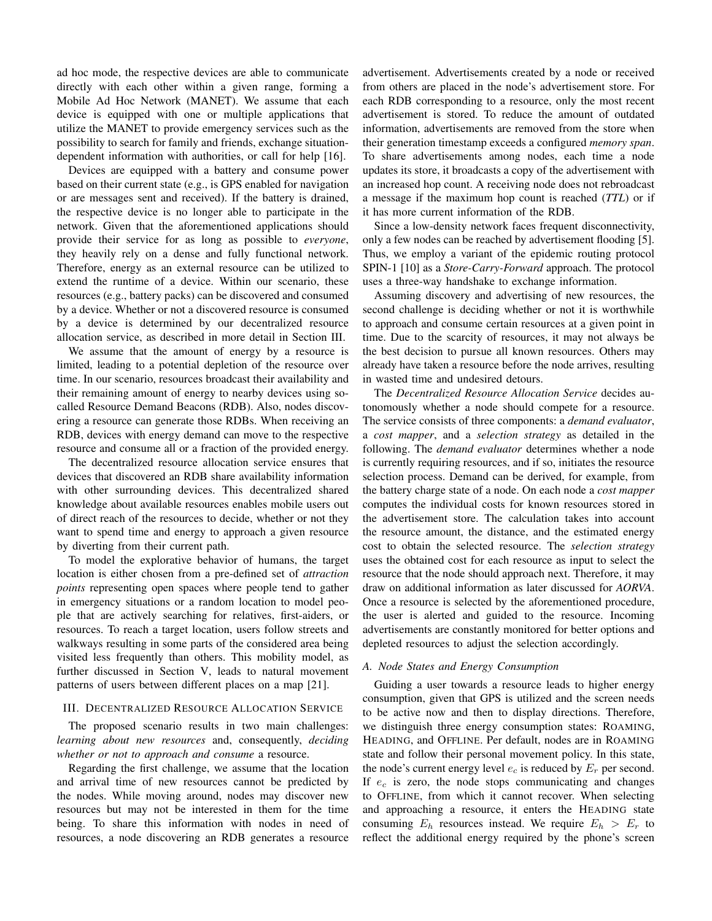ad hoc mode, the respective devices are able to communicate directly with each other within a given range, forming a Mobile Ad Hoc Network (MANET). We assume that each device is equipped with one or multiple applications that utilize the MANET to provide emergency services such as the possibility to search for family and friends, exchange situationdependent information with authorities, or call for help [16].

Devices are equipped with a battery and consume power based on their current state (e.g., is GPS enabled for navigation or are messages sent and received). If the battery is drained, the respective device is no longer able to participate in the network. Given that the aforementioned applications should provide their service for as long as possible to *everyone*, they heavily rely on a dense and fully functional network. Therefore, energy as an external resource can be utilized to extend the runtime of a device. Within our scenario, these resources (e.g., battery packs) can be discovered and consumed by a device. Whether or not a discovered resource is consumed by a device is determined by our decentralized resource allocation service, as described in more detail in Section III.

We assume that the amount of energy by a resource is limited, leading to a potential depletion of the resource over time. In our scenario, resources broadcast their availability and their remaining amount of energy to nearby devices using socalled Resource Demand Beacons (RDB). Also, nodes discovering a resource can generate those RDBs. When receiving an RDB, devices with energy demand can move to the respective resource and consume all or a fraction of the provided energy.

The decentralized resource allocation service ensures that devices that discovered an RDB share availability information with other surrounding devices. This decentralized shared knowledge about available resources enables mobile users out of direct reach of the resources to decide, whether or not they want to spend time and energy to approach a given resource by diverting from their current path.

To model the explorative behavior of humans, the target location is either chosen from a pre-defined set of *attraction points* representing open spaces where people tend to gather in emergency situations or a random location to model people that are actively searching for relatives, first-aiders, or resources. To reach a target location, users follow streets and walkways resulting in some parts of the considered area being visited less frequently than others. This mobility model, as further discussed in Section V, leads to natural movement patterns of users between different places on a map [21].

## III. DECENTRALIZED RESOURCE ALLOCATION SERVICE

The proposed scenario results in two main challenges: *learning about new resources* and, consequently, *deciding whether or not to approach and consume* a resource.

Regarding the first challenge, we assume that the location and arrival time of new resources cannot be predicted by the nodes. While moving around, nodes may discover new resources but may not be interested in them for the time being. To share this information with nodes in need of resources, a node discovering an RDB generates a resource advertisement. Advertisements created by a node or received from others are placed in the node's advertisement store. For each RDB corresponding to a resource, only the most recent advertisement is stored. To reduce the amount of outdated information, advertisements are removed from the store when their generation timestamp exceeds a configured *memory span*. To share advertisements among nodes, each time a node updates its store, it broadcasts a copy of the advertisement with an increased hop count. A receiving node does not rebroadcast a message if the maximum hop count is reached (*TTL*) or if it has more current information of the RDB.

Since a low-density network faces frequent disconnectivity, only a few nodes can be reached by advertisement flooding [5]. Thus, we employ a variant of the epidemic routing protocol SPIN-1 [10] as a *Store-Carry-Forward* approach. The protocol uses a three-way handshake to exchange information.

Assuming discovery and advertising of new resources, the second challenge is deciding whether or not it is worthwhile to approach and consume certain resources at a given point in time. Due to the scarcity of resources, it may not always be the best decision to pursue all known resources. Others may already have taken a resource before the node arrives, resulting in wasted time and undesired detours.

The *Decentralized Resource Allocation Service* decides autonomously whether a node should compete for a resource. The service consists of three components: a *demand evaluator*, a *cost mapper*, and a *selection strategy* as detailed in the following. The *demand evaluator* determines whether a node is currently requiring resources, and if so, initiates the resource selection process. Demand can be derived, for example, from the battery charge state of a node. On each node a *cost mapper* computes the individual costs for known resources stored in the advertisement store. The calculation takes into account the resource amount, the distance, and the estimated energy cost to obtain the selected resource. The *selection strategy* uses the obtained cost for each resource as input to select the resource that the node should approach next. Therefore, it may draw on additional information as later discussed for *AORVA*. Once a resource is selected by the aforementioned procedure, the user is alerted and guided to the resource. Incoming advertisements are constantly monitored for better options and depleted resources to adjust the selection accordingly.

#### *A. Node States and Energy Consumption*

Guiding a user towards a resource leads to higher energy consumption, given that GPS is utilized and the screen needs to be active now and then to display directions. Therefore, we distinguish three energy consumption states: ROAMING, HEADING, and OFFLINE. Per default, nodes are in ROAMING state and follow their personal movement policy. In this state, the node's current energy level  $e_c$  is reduced by  $E_r$  per second. If  $e_c$  is zero, the node stops communicating and changes to OFFLINE, from which it cannot recover. When selecting and approaching a resource, it enters the HEADING state consuming  $E_h$  resources instead. We require  $E_h > E_r$  to reflect the additional energy required by the phone's screen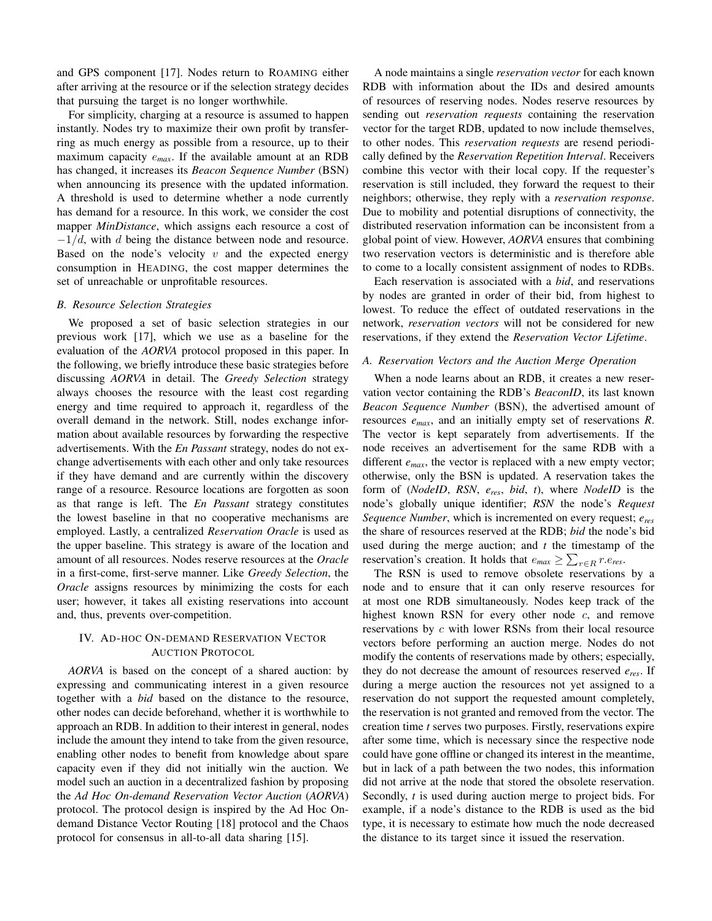and GPS component [17]. Nodes return to ROAMING either after arriving at the resource or if the selection strategy decides that pursuing the target is no longer worthwhile.

For simplicity, charging at a resource is assumed to happen instantly. Nodes try to maximize their own profit by transferring as much energy as possible from a resource, up to their maximum capacity e*max*. If the available amount at an RDB has changed, it increases its *Beacon Sequence Number* (BSN) when announcing its presence with the updated information. A threshold is used to determine whether a node currently has demand for a resource. In this work, we consider the cost mapper *MinDistance*, which assigns each resource a cost of  $-1/d$ , with d being the distance between node and resource. Based on the node's velocity  $v$  and the expected energy consumption in HEADING, the cost mapper determines the set of unreachable or unprofitable resources.

## *B. Resource Selection Strategies*

We proposed a set of basic selection strategies in our previous work [17], which we use as a baseline for the evaluation of the *AORVA* protocol proposed in this paper. In the following, we briefly introduce these basic strategies before discussing *AORVA* in detail. The *Greedy Selection* strategy always chooses the resource with the least cost regarding energy and time required to approach it, regardless of the overall demand in the network. Still, nodes exchange information about available resources by forwarding the respective advertisements. With the *En Passant* strategy, nodes do not exchange advertisements with each other and only take resources if they have demand and are currently within the discovery range of a resource. Resource locations are forgotten as soon as that range is left. The *En Passant* strategy constitutes the lowest baseline in that no cooperative mechanisms are employed. Lastly, a centralized *Reservation Oracle* is used as the upper baseline. This strategy is aware of the location and amount of all resources. Nodes reserve resources at the *Oracle* in a first-come, first-serve manner. Like *Greedy Selection*, the *Oracle* assigns resources by minimizing the costs for each user; however, it takes all existing reservations into account and, thus, prevents over-competition.

## IV. AD-HOC ON-DEMAND RESERVATION VECTOR AUCTION PROTOCOL

*AORVA* is based on the concept of a shared auction: by expressing and communicating interest in a given resource together with a *bid* based on the distance to the resource, other nodes can decide beforehand, whether it is worthwhile to approach an RDB. In addition to their interest in general, nodes include the amount they intend to take from the given resource, enabling other nodes to benefit from knowledge about spare capacity even if they did not initially win the auction. We model such an auction in a decentralized fashion by proposing the *Ad Hoc On-demand Reservation Vector Auction* (*AORVA*) protocol. The protocol design is inspired by the Ad Hoc Ondemand Distance Vector Routing [18] protocol and the Chaos protocol for consensus in all-to-all data sharing [15].

A node maintains a single *reservation vector* for each known RDB with information about the IDs and desired amounts of resources of reserving nodes. Nodes reserve resources by sending out *reservation requests* containing the reservation vector for the target RDB, updated to now include themselves, to other nodes. This *reservation requests* are resend periodically defined by the *Reservation Repetition Interval*. Receivers combine this vector with their local copy. If the requester's reservation is still included, they forward the request to their neighbors; otherwise, they reply with a *reservation response*. Due to mobility and potential disruptions of connectivity, the distributed reservation information can be inconsistent from a global point of view. However, *AORVA* ensures that combining two reservation vectors is deterministic and is therefore able to come to a locally consistent assignment of nodes to RDBs.

Each reservation is associated with a *bid*, and reservations by nodes are granted in order of their bid, from highest to lowest. To reduce the effect of outdated reservations in the network, *reservation vectors* will not be considered for new reservations, if they extend the *Reservation Vector Lifetime*.

#### *A. Reservation Vectors and the Auction Merge Operation*

When a node learns about an RDB, it creates a new reservation vector containing the RDB's *BeaconID*, its last known *Beacon Sequence Number* (BSN), the advertised amount of resources *emax*, and an initially empty set of reservations *R*. The vector is kept separately from advertisements. If the node receives an advertisement for the same RDB with a different *emax*, the vector is replaced with a new empty vector; otherwise, only the BSN is updated. A reservation takes the form of (*NodeID*, *RSN*, *eres*, *bid*, *t*), where *NodeID* is the node's globally unique identifier; *RSN* the node's *Request Sequence Number*, which is incremented on every request; *eres* the share of resources reserved at the RDB; *bid* the node's bid used during the merge auction; and *t* the timestamp of the reservation's creation. It holds that  $e_{max} \ge \sum_{r \in R} r.e_{res}$ .

The RSN is used to remove obsolete reservations by a node and to ensure that it can only reserve resources for at most one RDB simultaneously. Nodes keep track of the highest known RSN for every other node  $c$ , and remove reservations by c with lower RSNs from their local resource vectors before performing an auction merge. Nodes do not modify the contents of reservations made by others; especially, they do not decrease the amount of resources reserved *eres*. If during a merge auction the resources not yet assigned to a reservation do not support the requested amount completely, the reservation is not granted and removed from the vector. The creation time *t* serves two purposes. Firstly, reservations expire after some time, which is necessary since the respective node could have gone offline or changed its interest in the meantime, but in lack of a path between the two nodes, this information did not arrive at the node that stored the obsolete reservation. Secondly, *t* is used during auction merge to project bids. For example, if a node's distance to the RDB is used as the bid type, it is necessary to estimate how much the node decreased the distance to its target since it issued the reservation.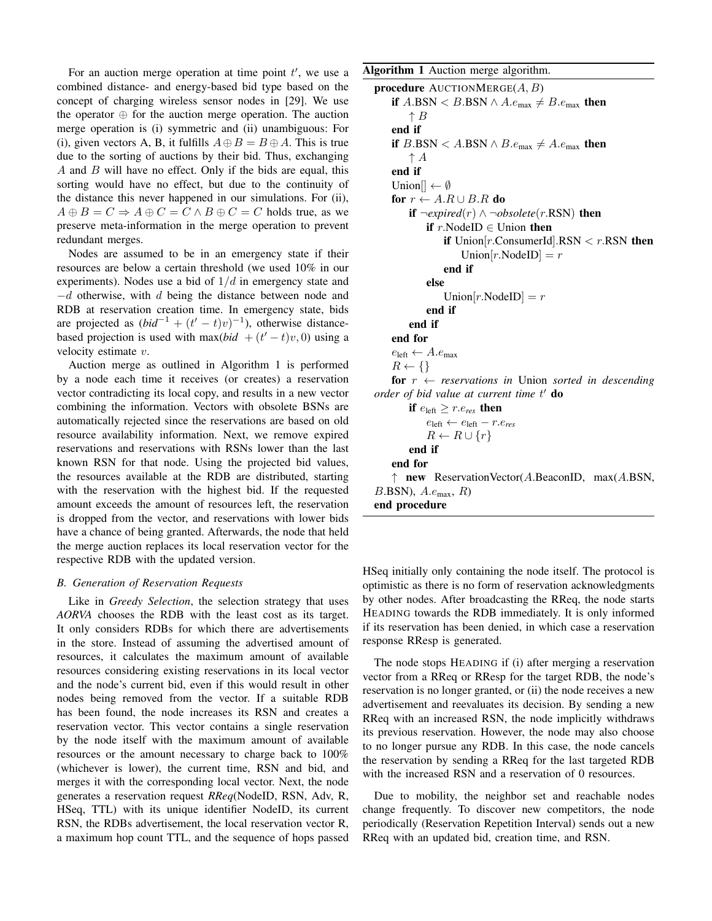For an auction merge operation at time point  $t'$ , we use a combined distance- and energy-based bid type based on the concept of charging wireless sensor nodes in [29]. We use the operator ⊕ for the auction merge operation. The auction merge operation is (i) symmetric and (ii) unambiguous: For (i), given vectors A, B, it fulfills  $A \oplus B = B \oplus A$ . This is true due to the sorting of auctions by their bid. Thus, exchanging A and B will have no effect. Only if the bids are equal, this sorting would have no effect, but due to the continuity of the distance this never happened in our simulations. For (ii),  $A \oplus B = C \Rightarrow A \oplus C = C \wedge B \oplus C = C$  holds true, as we preserve meta-information in the merge operation to prevent redundant merges.

Nodes are assumed to be in an emergency state if their resources are below a certain threshold (we used 10% in our experiments). Nodes use a bid of  $1/d$  in emergency state and −d otherwise, with d being the distance between node and RDB at reservation creation time. In emergency state, bids are projected as  $(bid^{-1} + (t'-t)v)^{-1}$ ), otherwise distancebased projection is used with max $(bid + (t'-t)v, 0)$  using a velocity estimate v.

Auction merge as outlined in Algorithm 1 is performed by a node each time it receives (or creates) a reservation vector contradicting its local copy, and results in a new vector combining the information. Vectors with obsolete BSNs are automatically rejected since the reservations are based on old resource availability information. Next, we remove expired reservations and reservations with RSNs lower than the last known RSN for that node. Using the projected bid values, the resources available at the RDB are distributed, starting with the reservation with the highest bid. If the requested amount exceeds the amount of resources left, the reservation is dropped from the vector, and reservations with lower bids have a chance of being granted. Afterwards, the node that held the merge auction replaces its local reservation vector for the respective RDB with the updated version.

## *B. Generation of Reservation Requests*

Like in *Greedy Selection*, the selection strategy that uses *AORVA* chooses the RDB with the least cost as its target. It only considers RDBs for which there are advertisements in the store. Instead of assuming the advertised amount of resources, it calculates the maximum amount of available resources considering existing reservations in its local vector and the node's current bid, even if this would result in other nodes being removed from the vector. If a suitable RDB has been found, the node increases its RSN and creates a reservation vector. This vector contains a single reservation by the node itself with the maximum amount of available resources or the amount necessary to charge back to 100% (whichever is lower), the current time, RSN and bid, and merges it with the corresponding local vector. Next, the node generates a reservation request *RReq*(NodeID, RSN, Adv, R, HSeq, TTL) with its unique identifier NodeID, its current RSN, the RDBs advertisement, the local reservation vector R, a maximum hop count TTL, and the sequence of hops passed

Algorithm 1 Auction merge algorithm.

```
procedure AUCTIONMERGE(A, B)if A.BSN < B.BSN \wedge A.e_{\text{max}} \neq B.e_{\text{max}} then
         \uparrow Bend if
     if B.BSN < A.BSN \wedge B.e_{\text{max}} \neq A.e_{\text{max}} then
         \uparrow A
     end if
     Union[] \leftarrow \emptysetfor r \leftarrow A.R \cup B.R do
         if \neg \text{expired}(r) \land \neg \text{obsolete}(r \text{. RSN}) then
               if r. Nodel D \in Union then
                   if Union[r.ConsumerId].RSN < r.RSN then
                        Union[r.\text{NodeID}] = rend if
               else
                   Union|r.NodeID|rend if
         end if
     end for
     e_{\text{left}} \leftarrow A.e_{\text{max}}R \leftarrow \{\}for r \leftarrow reservations in Union sorted in descending
order of bid value at current time t' do
         if e_{\text{left}} \geq r.e_{\text{res}} then
              e_{\text{left}} \leftarrow e_{\text{left}} - r.e_{\text{res}}R \leftarrow R \cup \{r\}end if
     end for
     ↑ new ReservationVector(A.BeaconID, max(A.BSN,
B.BSN), A.e_{\text{max}}, R)
end procedure
```
HSeq initially only containing the node itself. The protocol is optimistic as there is no form of reservation acknowledgments by other nodes. After broadcasting the RReq, the node starts HEADING towards the RDB immediately. It is only informed if its reservation has been denied, in which case a reservation response RResp is generated.

The node stops HEADING if (i) after merging a reservation vector from a RReq or RResp for the target RDB, the node's reservation is no longer granted, or (ii) the node receives a new advertisement and reevaluates its decision. By sending a new RReq with an increased RSN, the node implicitly withdraws its previous reservation. However, the node may also choose to no longer pursue any RDB. In this case, the node cancels the reservation by sending a RReq for the last targeted RDB with the increased RSN and a reservation of 0 resources.

Due to mobility, the neighbor set and reachable nodes change frequently. To discover new competitors, the node periodically (Reservation Repetition Interval) sends out a new RReq with an updated bid, creation time, and RSN.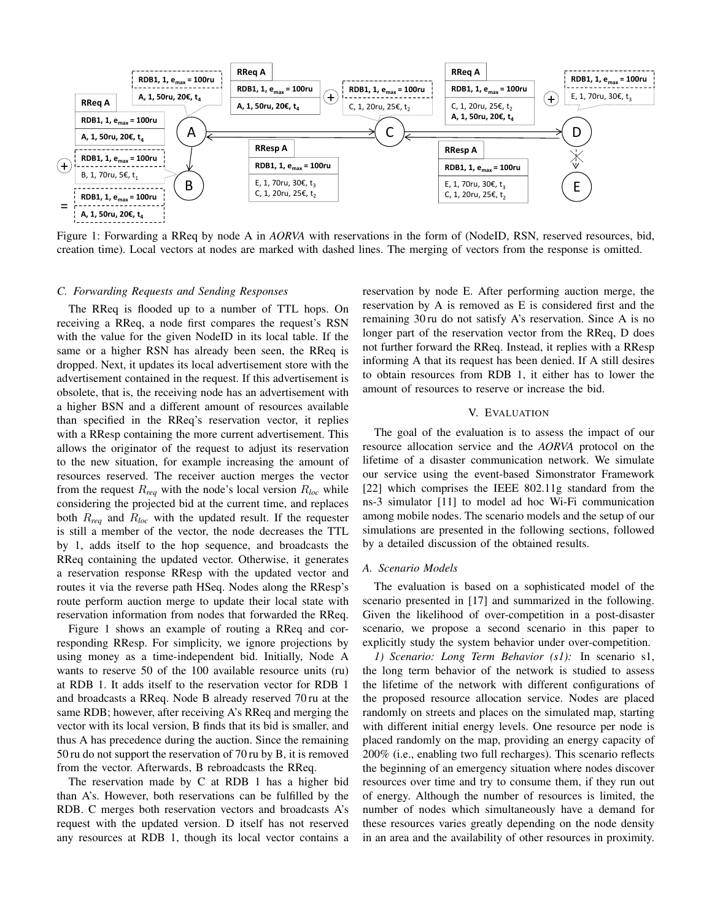

Figure 1: Forwarding a RReq by node A in *AORVA* with reservations in the form of (NodeID, RSN, reserved resources, bid, creation time). Local vectors at nodes are marked with dashed lines. The merging of vectors from the response is omitted.

#### *C. Forwarding Requests and Sending Responses*

The RReq is flooded up to a number of TTL hops. On receiving a RReq, a node first compares the request's RSN with the value for the given NodeID in its local table. If the same or a higher RSN has already been seen, the RReq is dropped. Next, it updates its local advertisement store with the advertisement contained in the request. If this advertisement is obsolete, that is, the receiving node has an advertisement with a higher BSN and a different amount of resources available than specified in the RReq's reservation vector, it replies with a RResp containing the more current advertisement. This allows the originator of the request to adjust its reservation to the new situation, for example increasing the amount of resources reserved. The receiver auction merges the vector from the request  $R_{req}$  with the node's local version  $R_{loc}$  while considering the projected bid at the current time, and replaces both R*req* and R*loc* with the updated result. If the requester is still a member of the vector, the node decreases the TTL by 1, adds itself to the hop sequence, and broadcasts the RReq containing the updated vector. Otherwise, it generates a reservation response RResp with the updated vector and routes it via the reverse path HSeq. Nodes along the RResp's route perform auction merge to update their local state with reservation information from nodes that forwarded the RReq.

Figure 1 shows an example of routing a RReq and corresponding RResp. For simplicity, we ignore projections by using money as a time-independent bid. Initially, Node A wants to reserve 50 of the 100 available resource units (ru) at RDB 1. It adds itself to the reservation vector for RDB 1 and broadcasts a RReq. Node B already reserved 70 ru at the same RDB; however, after receiving A's RReq and merging the vector with its local version, B finds that its bid is smaller, and thus A has precedence during the auction. Since the remaining 50 ru do not support the reservation of 70 ru by B, it is removed from the vector. Afterwards, B rebroadcasts the RReq.

The reservation made by C at RDB 1 has a higher bid than A's. However, both reservations can be fulfilled by the RDB. C merges both reservation vectors and broadcasts A's request with the updated version. D itself has not reserved any resources at RDB 1, though its local vector contains a reservation by node E. After performing auction merge, the reservation by A is removed as E is considered first and the remaining 30 ru do not satisfy A's reservation. Since A is no longer part of the reservation vector from the RReq, D does not further forward the RReq. Instead, it replies with a RResp informing A that its request has been denied. If A still desires to obtain resources from RDB 1, it either has to lower the amount of resources to reserve or increase the bid.

#### V. EVALUATION

The goal of the evaluation is to assess the impact of our resource allocation service and the *AORVA* protocol on the lifetime of a disaster communication network. We simulate our service using the event-based Simonstrator Framework [22] which comprises the IEEE 802.11g standard from the ns-3 simulator [11] to model ad hoc Wi-Fi communication among mobile nodes. The scenario models and the setup of our simulations are presented in the following sections, followed by a detailed discussion of the obtained results.

## *A. Scenario Models*

The evaluation is based on a sophisticated model of the scenario presented in [17] and summarized in the following. Given the likelihood of over-competition in a post-disaster scenario, we propose a second scenario in this paper to explicitly study the system behavior under over-competition.

*1) Scenario: Long Term Behavior (s1):* In scenario s1, the long term behavior of the network is studied to assess the lifetime of the network with different configurations of the proposed resource allocation service. Nodes are placed randomly on streets and places on the simulated map, starting with different initial energy levels. One resource per node is placed randomly on the map, providing an energy capacity of 200% (i.e., enabling two full recharges). This scenario reflects the beginning of an emergency situation where nodes discover resources over time and try to consume them, if they run out of energy. Although the number of resources is limited, the number of nodes which simultaneously have a demand for these resources varies greatly depending on the node density in an area and the availability of other resources in proximity.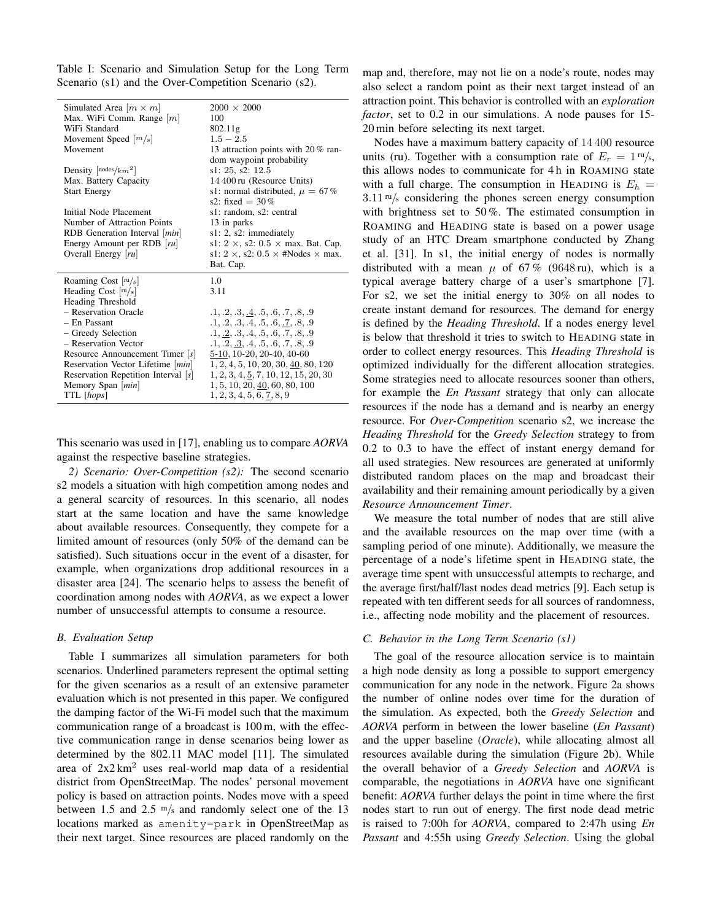Table I: Scenario and Simulation Setup for the Long Term Scenario (s1) and the Over-Competition Scenario (s2).

| Simulated Area $ m \times m $              | $2000 \times 2000$                                     |
|--------------------------------------------|--------------------------------------------------------|
| Max. WiFi Comm. Range $[m]$                | 100                                                    |
| WiFi Standard                              | 802.11g                                                |
| Movement Speed $[m/s]$                     | $1.5 - 2.5$                                            |
| Movement                                   | 13 attraction points with 20% ran-                     |
|                                            | dom waypoint probability                               |
| Density $\lceil n \text{odes}/km^2 \rceil$ | s1: 25, s2: 12.5                                       |
| Max. Battery Capacity                      | 14 400 ru (Resource Units)                             |
| <b>Start Energy</b>                        | s1: normal distributed, $\mu = 67\%$                   |
|                                            | s2: fixed = $30\%$                                     |
| Initial Node Placement                     | s1: random, s2: central                                |
| Number of Attraction Points                | 13 in parks                                            |
| RDB Generation Interval   min              | s1: 2, s2: immediately                                 |
| Energy Amount per RDB  ru                  | s1: $2 \times$ , s2: $0.5 \times$ max. Bat. Cap.       |
| Overall Energy [ru]                        | s1: $2 \times$ , s2: $0.5 \times$ #Nodes $\times$ max. |
|                                            |                                                        |
|                                            | Bat. Cap.                                              |
| Roaming Cost $ {\rm ru/s} $                | 1.0                                                    |
| Heading Cost $\lceil m/s \rceil$           | 3.11                                                   |
| Heading Threshold                          |                                                        |
| - Reservation Oracle                       | .1, .2, .3, .4, .5, .6, .7, .8, .9                     |
| $-$ En Passant                             | .1, .2, .3, .4, .5, .6, .7, .8, .9                     |
| - Greedy Selection                         | .1, .2, .3, .4, .5, .6, .7, .8, .9                     |
| - Reservation Vector                       | .1, .2, .3, .4, .5, .6, .7, .8, .9                     |
| Resource Announcement Timer $ s $          | $5-10$ , $10-20$ , $20-40$ , $40-60$                   |
| Reservation Vector Lifetime   min          | 1, 2, 4, 5, 10, 20, 30, 40, 80, 120                    |
| Reservation Repetition Interval $[s]$      | 1, 2, 3, 4, 5, 7, 10, 12, 15, 20, 30                   |
| Memory Span [ <i>min</i> ]                 | 1, 5, 10, 20, 40, 60, 80, 100                          |
| TTL [hops]                                 | 1, 2, 3, 4, 5, 6, 7, 8, 9                              |

This scenario was used in [17], enabling us to compare *AORVA* against the respective baseline strategies.

*2) Scenario: Over-Competition (s2):* The second scenario s2 models a situation with high competition among nodes and a general scarcity of resources. In this scenario, all nodes start at the same location and have the same knowledge about available resources. Consequently, they compete for a limited amount of resources (only 50% of the demand can be satisfied). Such situations occur in the event of a disaster, for example, when organizations drop additional resources in a disaster area [24]. The scenario helps to assess the benefit of coordination among nodes with *AORVA*, as we expect a lower number of unsuccessful attempts to consume a resource.

#### *B. Evaluation Setup*

Table I summarizes all simulation parameters for both scenarios. Underlined parameters represent the optimal setting for the given scenarios as a result of an extensive parameter evaluation which is not presented in this paper. We configured the damping factor of the Wi-Fi model such that the maximum communication range of a broadcast is 100 m, with the effective communication range in dense scenarios being lower as determined by the 802.11 MAC model [11]. The simulated area of  $2x2 km<sup>2</sup>$  uses real-world map data of a residential district from OpenStreetMap. The nodes' personal movement policy is based on attraction points. Nodes move with a speed between 1.5 and 2.5  $\mathrm{m/s}$  and randomly select one of the 13 locations marked as amenity=park in OpenStreetMap as their next target. Since resources are placed randomly on the

map and, therefore, may not lie on a node's route, nodes may also select a random point as their next target instead of an attraction point. This behavior is controlled with an *exploration factor*, set to 0.2 in our simulations. A node pauses for 15- 20 min before selecting its next target.

Nodes have a maximum battery capacity of 14 400 resource units (ru). Together with a consumption rate of  $E_r = 1 \text{ m/s}$ , this allows nodes to communicate for 4 h in ROAMING state with a full charge. The consumption in HEADING is  $E_h$  =  $3.11 \text{ m/s}$  considering the phones screen energy consumption with brightness set to 50 %. The estimated consumption in ROAMING and HEADING state is based on a power usage study of an HTC Dream smartphone conducted by Zhang et al. [31]. In s1, the initial energy of nodes is normally distributed with a mean  $\mu$  of 67% (9648 ru), which is a typical average battery charge of a user's smartphone [7]. For s2, we set the initial energy to 30% on all nodes to create instant demand for resources. The demand for energy is defined by the *Heading Threshold*. If a nodes energy level is below that threshold it tries to switch to HEADING state in order to collect energy resources. This *Heading Threshold* is optimized individually for the different allocation strategies. Some strategies need to allocate resources sooner than others, for example the *En Passant* strategy that only can allocate resources if the node has a demand and is nearby an energy resource. For *Over-Competition* scenario s2, we increase the *Heading Threshold* for the *Greedy Selection* strategy to from 0.2 to 0.3 to have the effect of instant energy demand for all used strategies. New resources are generated at uniformly distributed random places on the map and broadcast their availability and their remaining amount periodically by a given *Resource Announcement Timer*.

We measure the total number of nodes that are still alive and the available resources on the map over time (with a sampling period of one minute). Additionally, we measure the percentage of a node's lifetime spent in HEADING state, the average time spent with unsuccessful attempts to recharge, and the average first/half/last nodes dead metrics [9]. Each setup is repeated with ten different seeds for all sources of randomness, i.e., affecting node mobility and the placement of resources.

## *C. Behavior in the Long Term Scenario (s1)*

The goal of the resource allocation service is to maintain a high node density as long a possible to support emergency communication for any node in the network. Figure 2a shows the number of online nodes over time for the duration of the simulation. As expected, both the *Greedy Selection* and *AORVA* perform in between the lower baseline (*En Passant*) and the upper baseline (*Oracle*), while allocating almost all resources available during the simulation (Figure 2b). While the overall behavior of a *Greedy Selection* and *AORVA* is comparable, the negotiations in *AORVA* have one significant benefit: *AORVA* further delays the point in time where the first nodes start to run out of energy. The first node dead metric is raised to 7:00h for *AORVA*, compared to 2:47h using *En Passant* and 4:55h using *Greedy Selection*. Using the global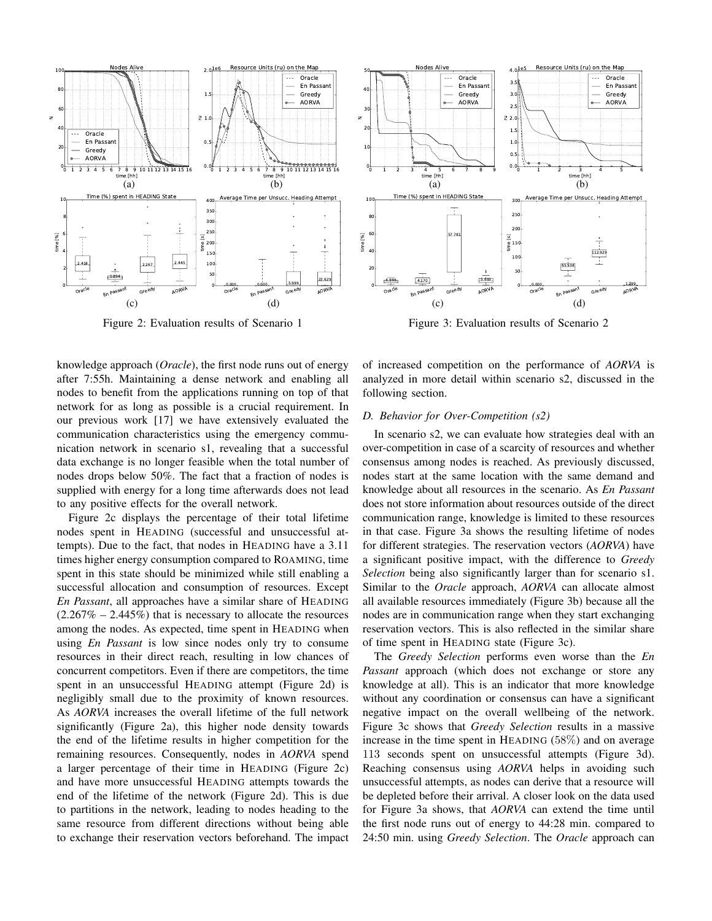

Figure 2: Evaluation results of Scenario 1

knowledge approach (*Oracle*), the first node runs out of energy after 7:55h. Maintaining a dense network and enabling all nodes to benefit from the applications running on top of that network for as long as possible is a crucial requirement. In our previous work [17] we have extensively evaluated the communication characteristics using the emergency communication network in scenario s1, revealing that a successful data exchange is no longer feasible when the total number of nodes drops below 50%. The fact that a fraction of nodes is supplied with energy for a long time afterwards does not lead to any positive effects for the overall network.

Figure 2c displays the percentage of their total lifetime nodes spent in HEADING (successful and unsuccessful attempts). Due to the fact, that nodes in HEADING have a 3.11 times higher energy consumption compared to ROAMING, time spent in this state should be minimized while still enabling a successful allocation and consumption of resources. Except *En Passant*, all approaches have a similar share of HEADING  $(2.267\% - 2.445\%)$  that is necessary to allocate the resources among the nodes. As expected, time spent in HEADING when using *En Passant* is low since nodes only try to consume resources in their direct reach, resulting in low chances of concurrent competitors. Even if there are competitors, the time spent in an unsuccessful HEADING attempt (Figure 2d) is negligibly small due to the proximity of known resources. As *AORVA* increases the overall lifetime of the full network significantly (Figure 2a), this higher node density towards the end of the lifetime results in higher competition for the remaining resources. Consequently, nodes in *AORVA* spend a larger percentage of their time in HEADING (Figure 2c) and have more unsuccessful HEADING attempts towards the end of the lifetime of the network (Figure 2d). This is due to partitions in the network, leading to nodes heading to the same resource from different directions without being able to exchange their reservation vectors beforehand. The impact



Figure 3: Evaluation results of Scenario 2

of increased competition on the performance of *AORVA* is analyzed in more detail within scenario s2, discussed in the following section.

### *D. Behavior for Over-Competition (s2)*

In scenario s2, we can evaluate how strategies deal with an over-competition in case of a scarcity of resources and whether consensus among nodes is reached. As previously discussed, nodes start at the same location with the same demand and knowledge about all resources in the scenario. As *En Passant* does not store information about resources outside of the direct communication range, knowledge is limited to these resources in that case. Figure 3a shows the resulting lifetime of nodes for different strategies. The reservation vectors (*AORVA*) have a significant positive impact, with the difference to *Greedy Selection* being also significantly larger than for scenario s1. Similar to the *Oracle* approach, *AORVA* can allocate almost all available resources immediately (Figure 3b) because all the nodes are in communication range when they start exchanging reservation vectors. This is also reflected in the similar share of time spent in HEADING state (Figure 3c).

The *Greedy Selection* performs even worse than the *En Passant* approach (which does not exchange or store any knowledge at all). This is an indicator that more knowledge without any coordination or consensus can have a significant negative impact on the overall wellbeing of the network. Figure 3c shows that *Greedy Selection* results in a massive increase in the time spent in HEADING (58%) and on average 113 seconds spent on unsuccessful attempts (Figure 3d). Reaching consensus using *AORVA* helps in avoiding such unsuccessful attempts, as nodes can derive that a resource will be depleted before their arrival. A closer look on the data used for Figure 3a shows, that *AORVA* can extend the time until the first node runs out of energy to 44:28 min. compared to 24:50 min. using *Greedy Selection*. The *Oracle* approach can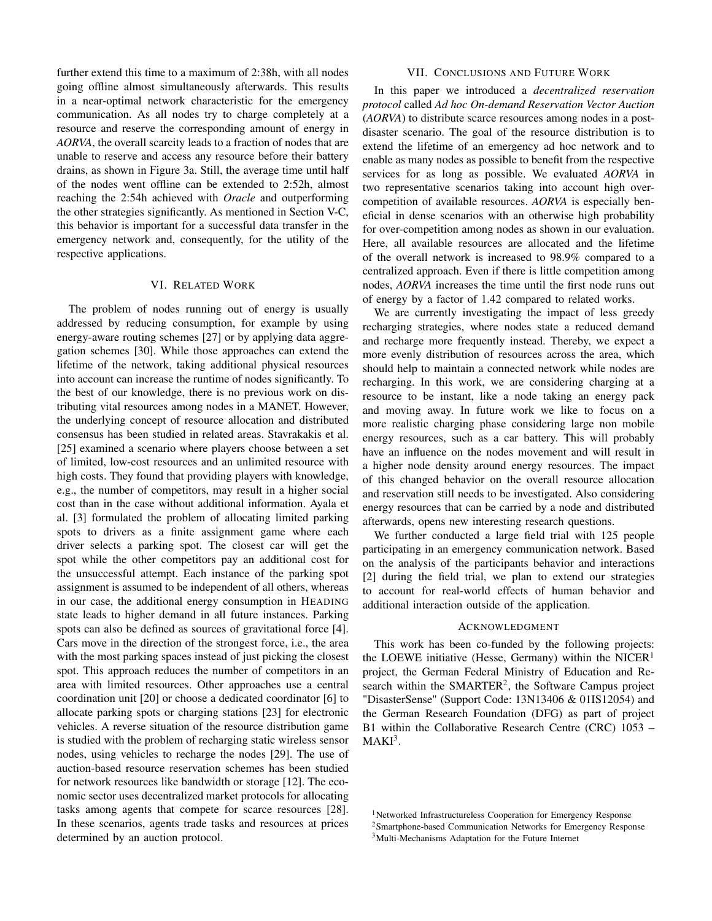further extend this time to a maximum of 2:38h, with all nodes going offline almost simultaneously afterwards. This results in a near-optimal network characteristic for the emergency communication. As all nodes try to charge completely at a resource and reserve the corresponding amount of energy in *AORVA*, the overall scarcity leads to a fraction of nodes that are unable to reserve and access any resource before their battery drains, as shown in Figure 3a. Still, the average time until half of the nodes went offline can be extended to 2:52h, almost reaching the 2:54h achieved with *Oracle* and outperforming the other strategies significantly. As mentioned in Section V-C, this behavior is important for a successful data transfer in the emergency network and, consequently, for the utility of the respective applications.

#### VI. RELATED WORK

The problem of nodes running out of energy is usually addressed by reducing consumption, for example by using energy-aware routing schemes [27] or by applying data aggregation schemes [30]. While those approaches can extend the lifetime of the network, taking additional physical resources into account can increase the runtime of nodes significantly. To the best of our knowledge, there is no previous work on distributing vital resources among nodes in a MANET. However, the underlying concept of resource allocation and distributed consensus has been studied in related areas. Stavrakakis et al. [25] examined a scenario where players choose between a set of limited, low-cost resources and an unlimited resource with high costs. They found that providing players with knowledge, e.g., the number of competitors, may result in a higher social cost than in the case without additional information. Ayala et al. [3] formulated the problem of allocating limited parking spots to drivers as a finite assignment game where each driver selects a parking spot. The closest car will get the spot while the other competitors pay an additional cost for the unsuccessful attempt. Each instance of the parking spot assignment is assumed to be independent of all others, whereas in our case, the additional energy consumption in HEADING state leads to higher demand in all future instances. Parking spots can also be defined as sources of gravitational force [4]. Cars move in the direction of the strongest force, i.e., the area with the most parking spaces instead of just picking the closest spot. This approach reduces the number of competitors in an area with limited resources. Other approaches use a central coordination unit [20] or choose a dedicated coordinator [6] to allocate parking spots or charging stations [23] for electronic vehicles. A reverse situation of the resource distribution game is studied with the problem of recharging static wireless sensor nodes, using vehicles to recharge the nodes [29]. The use of auction-based resource reservation schemes has been studied for network resources like bandwidth or storage [12]. The economic sector uses decentralized market protocols for allocating tasks among agents that compete for scarce resources [28]. In these scenarios, agents trade tasks and resources at prices determined by an auction protocol.

#### VII. CONCLUSIONS AND FUTURE WORK

In this paper we introduced a *decentralized reservation protocol* called *Ad hoc On-demand Reservation Vector Auction* (*AORVA*) to distribute scarce resources among nodes in a postdisaster scenario. The goal of the resource distribution is to extend the lifetime of an emergency ad hoc network and to enable as many nodes as possible to benefit from the respective services for as long as possible. We evaluated *AORVA* in two representative scenarios taking into account high overcompetition of available resources. *AORVA* is especially beneficial in dense scenarios with an otherwise high probability for over-competition among nodes as shown in our evaluation. Here, all available resources are allocated and the lifetime of the overall network is increased to 98.9% compared to a centralized approach. Even if there is little competition among nodes, *AORVA* increases the time until the first node runs out of energy by a factor of 1.42 compared to related works.

We are currently investigating the impact of less greedy recharging strategies, where nodes state a reduced demand and recharge more frequently instead. Thereby, we expect a more evenly distribution of resources across the area, which should help to maintain a connected network while nodes are recharging. In this work, we are considering charging at a resource to be instant, like a node taking an energy pack and moving away. In future work we like to focus on a more realistic charging phase considering large non mobile energy resources, such as a car battery. This will probably have an influence on the nodes movement and will result in a higher node density around energy resources. The impact of this changed behavior on the overall resource allocation and reservation still needs to be investigated. Also considering energy resources that can be carried by a node and distributed afterwards, opens new interesting research questions.

We further conducted a large field trial with 125 people participating in an emergency communication network. Based on the analysis of the participants behavior and interactions [2] during the field trial, we plan to extend our strategies to account for real-world effects of human behavior and additional interaction outside of the application.

#### ACKNOWLEDGMENT

This work has been co-funded by the following projects: the LOEWE initiative (Hesse, Germany) within the NICER<sup>1</sup> project, the German Federal Ministry of Education and Research within the SMARTER<sup>2</sup>, the Software Campus project "DisasterSense" (Support Code: 13N13406 & 01IS12054) and the German Research Foundation (DFG) as part of project B1 within the Collaborative Research Centre (CRC) 1053 –  $MAKI<sup>3</sup>$ .

<sup>1</sup>Networked Infrastructureless Cooperation for Emergency Response <sup>2</sup>Smartphone-based Communication Networks for Emergency Response <sup>3</sup>Multi-Mechanisms Adaptation for the Future Internet